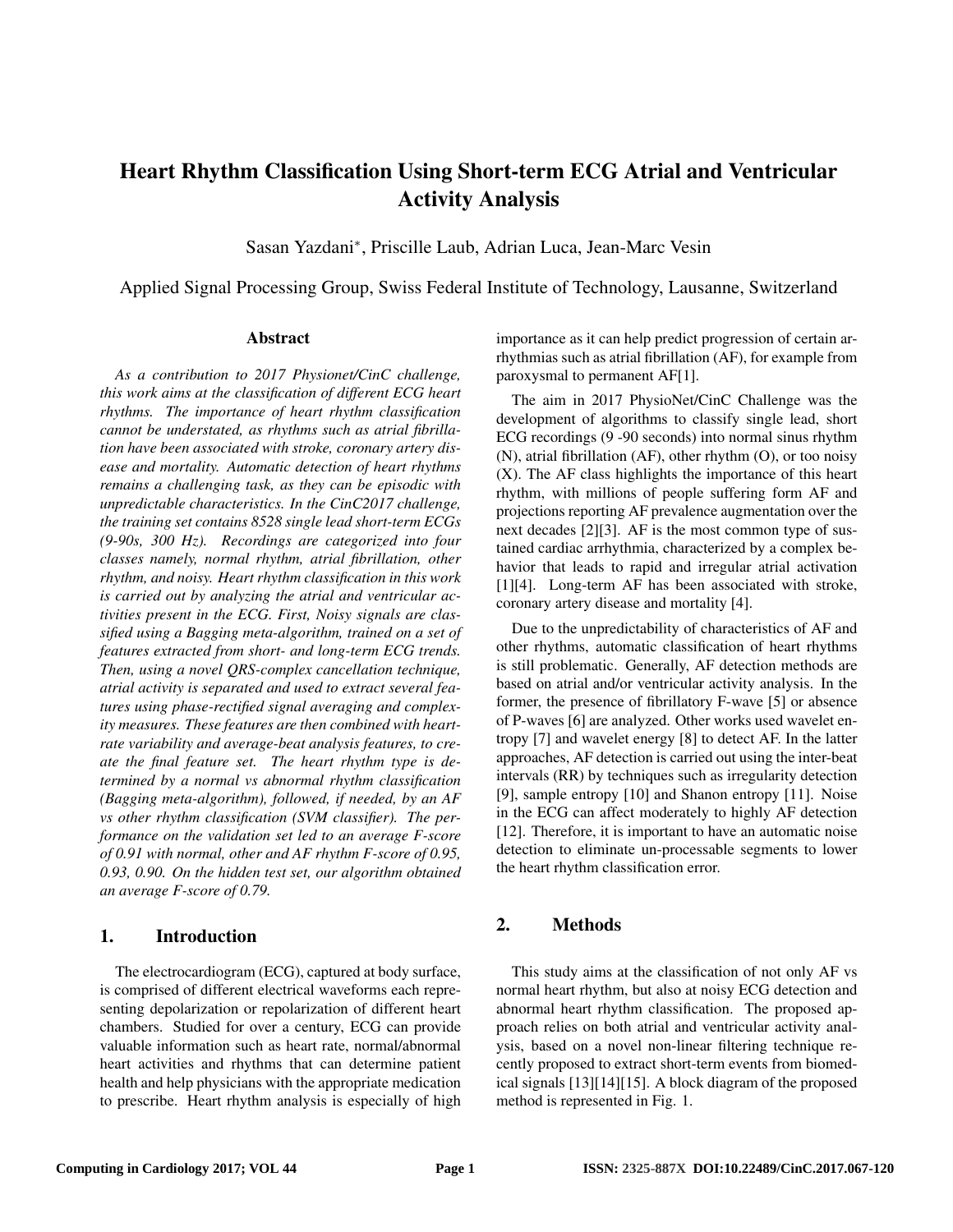# Heart Rhythm Classification Using Short-term ECG Atrial and Ventricular Activity Analysis

Sasan Yazdani<sup>∗</sup> , Priscille Laub, Adrian Luca, Jean-Marc Vesin

Applied Signal Processing Group, Swiss Federal Institute of Technology, Lausanne, Switzerland

#### Abstract

*As a contribution to 2017 Physionet/CinC challenge, this work aims at the classification of different ECG heart rhythms. The importance of heart rhythm classification cannot be understated, as rhythms such as atrial fibrillation have been associated with stroke, coronary artery disease and mortality. Automatic detection of heart rhythms remains a challenging task, as they can be episodic with unpredictable characteristics. In the CinC2017 challenge, the training set contains 8528 single lead short-term ECGs (9-90s, 300 Hz). Recordings are categorized into four classes namely, normal rhythm, atrial fibrillation, other rhythm, and noisy. Heart rhythm classification in this work is carried out by analyzing the atrial and ventricular activities present in the ECG. First, Noisy signals are classified using a Bagging meta-algorithm, trained on a set of features extracted from short- and long-term ECG trends. Then, using a novel QRS-complex cancellation technique, atrial activity is separated and used to extract several features using phase-rectified signal averaging and complexity measures. These features are then combined with heartrate variability and average-beat analysis features, to create the final feature set. The heart rhythm type is determined by a normal vs abnormal rhythm classification (Bagging meta-algorithm), followed, if needed, by an AF vs other rhythm classification (SVM classifier). The performance on the validation set led to an average F-score of 0.91 with normal, other and AF rhythm F-score of 0.95, 0.93, 0.90. On the hidden test set, our algorithm obtained an average F-score of 0.79.*

#### 1. Introduction

The electrocardiogram (ECG), captured at body surface, is comprised of different electrical waveforms each representing depolarization or repolarization of different heart chambers. Studied for over a century, ECG can provide valuable information such as heart rate, normal/abnormal heart activities and rhythms that can determine patient health and help physicians with the appropriate medication to prescribe. Heart rhythm analysis is especially of high importance as it can help predict progression of certain arrhythmias such as atrial fibrillation (AF), for example from paroxysmal to permanent AF[1].

The aim in 2017 PhysioNet/CinC Challenge was the development of algorithms to classify single lead, short ECG recordings (9 -90 seconds) into normal sinus rhythm (N), atrial fibrillation (AF), other rhythm (O), or too noisy (X). The AF class highlights the importance of this heart rhythm, with millions of people suffering form AF and projections reporting AF prevalence augmentation over the next decades [2][3]. AF is the most common type of sustained cardiac arrhythmia, characterized by a complex behavior that leads to rapid and irregular atrial activation [1][4]. Long-term AF has been associated with stroke, coronary artery disease and mortality [4].

Due to the unpredictability of characteristics of AF and other rhythms, automatic classification of heart rhythms is still problematic. Generally, AF detection methods are based on atrial and/or ventricular activity analysis. In the former, the presence of fibrillatory F-wave [5] or absence of P-waves [6] are analyzed. Other works used wavelet entropy [7] and wavelet energy [8] to detect AF. In the latter approaches, AF detection is carried out using the inter-beat intervals (RR) by techniques such as irregularity detection [9], sample entropy [10] and Shanon entropy [11]. Noise in the ECG can affect moderately to highly AF detection [12]. Therefore, it is important to have an automatic noise detection to eliminate un-processable segments to lower the heart rhythm classification error.

## 2. Methods

This study aims at the classification of not only AF vs normal heart rhythm, but also at noisy ECG detection and abnormal heart rhythm classification. The proposed approach relies on both atrial and ventricular activity analysis, based on a novel non-linear filtering technique recently proposed to extract short-term events from biomedical signals [13][14][15]. A block diagram of the proposed method is represented in Fig. 1.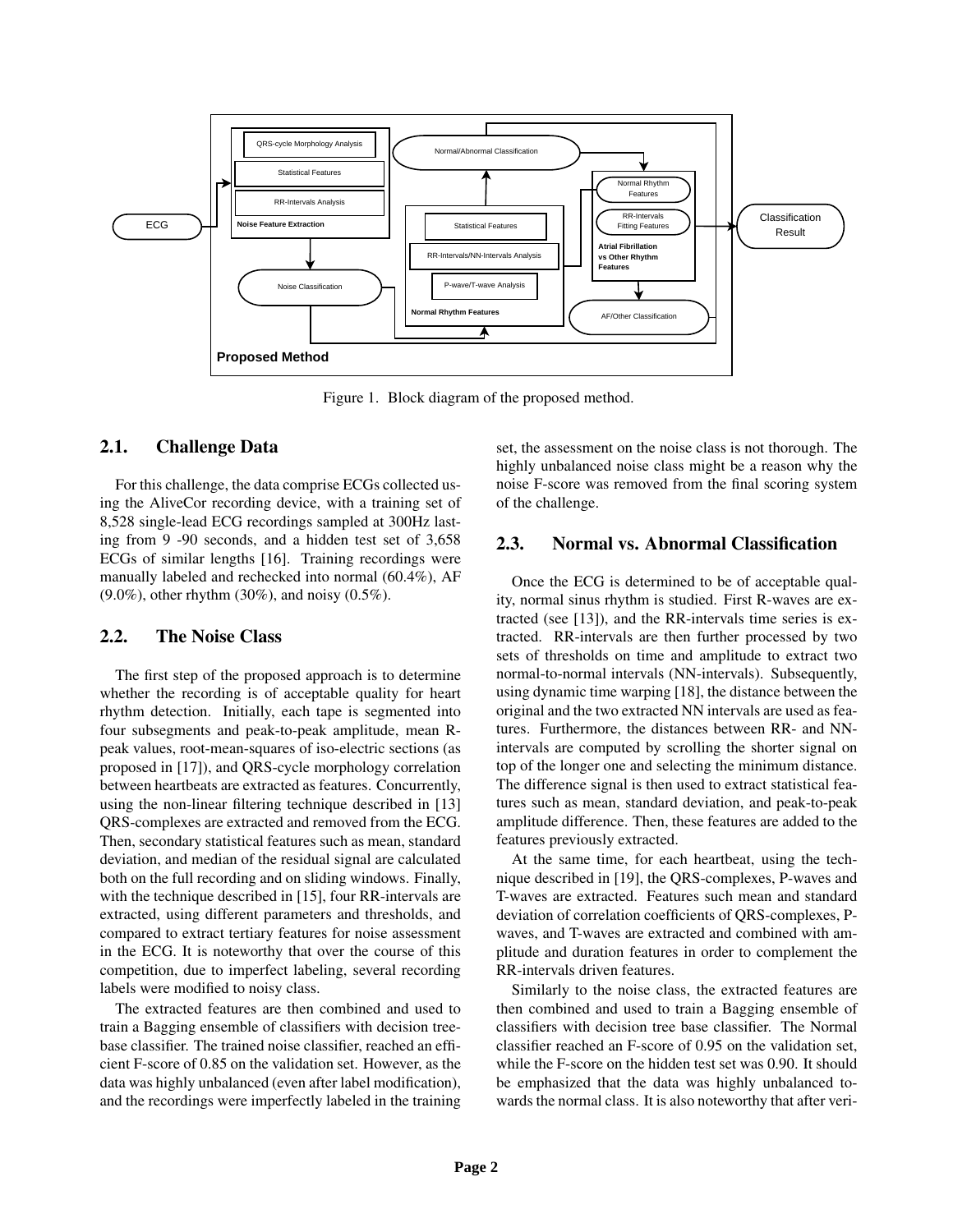

Figure 1. Block diagram of the proposed method.

### 2.1. Challenge Data

For this challenge, the data comprise ECGs collected using the AliveCor recording device, with a training set of 8,528 single-lead ECG recordings sampled at 300Hz lasting from 9 -90 seconds, and a hidden test set of 3,658 ECGs of similar lengths [16]. Training recordings were manually labeled and rechecked into normal (60.4%), AF (9.0%), other rhythm (30%), and noisy (0.5%).

#### 2.2. The Noise Class

The first step of the proposed approach is to determine whether the recording is of acceptable quality for heart rhythm detection. Initially, each tape is segmented into four subsegments and peak-to-peak amplitude, mean Rpeak values, root-mean-squares of iso-electric sections (as proposed in [17]), and QRS-cycle morphology correlation between heartbeats are extracted as features. Concurrently, using the non-linear filtering technique described in [13] QRS-complexes are extracted and removed from the ECG. Then, secondary statistical features such as mean, standard deviation, and median of the residual signal are calculated both on the full recording and on sliding windows. Finally, with the technique described in [15], four RR-intervals are extracted, using different parameters and thresholds, and compared to extract tertiary features for noise assessment in the ECG. It is noteworthy that over the course of this competition, due to imperfect labeling, several recording labels were modified to noisy class.

The extracted features are then combined and used to train a Bagging ensemble of classifiers with decision treebase classifier. The trained noise classifier, reached an efficient F-score of 0.85 on the validation set. However, as the data was highly unbalanced (even after label modification), and the recordings were imperfectly labeled in the training set, the assessment on the noise class is not thorough. The highly unbalanced noise class might be a reason why the noise F-score was removed from the final scoring system of the challenge.

### 2.3. Normal vs. Abnormal Classification

Once the ECG is determined to be of acceptable quality, normal sinus rhythm is studied. First R-waves are extracted (see [13]), and the RR-intervals time series is extracted. RR-intervals are then further processed by two sets of thresholds on time and amplitude to extract two normal-to-normal intervals (NN-intervals). Subsequently, using dynamic time warping [18], the distance between the original and the two extracted NN intervals are used as features. Furthermore, the distances between RR- and NNintervals are computed by scrolling the shorter signal on top of the longer one and selecting the minimum distance. The difference signal is then used to extract statistical features such as mean, standard deviation, and peak-to-peak amplitude difference. Then, these features are added to the features previously extracted.

At the same time, for each heartbeat, using the technique described in [19], the QRS-complexes, P-waves and T-waves are extracted. Features such mean and standard deviation of correlation coefficients of QRS-complexes, Pwaves, and T-waves are extracted and combined with amplitude and duration features in order to complement the RR-intervals driven features.

Similarly to the noise class, the extracted features are then combined and used to train a Bagging ensemble of classifiers with decision tree base classifier. The Normal classifier reached an F-score of 0.95 on the validation set, while the F-score on the hidden test set was 0.90. It should be emphasized that the data was highly unbalanced towards the normal class. It is also noteworthy that after veri-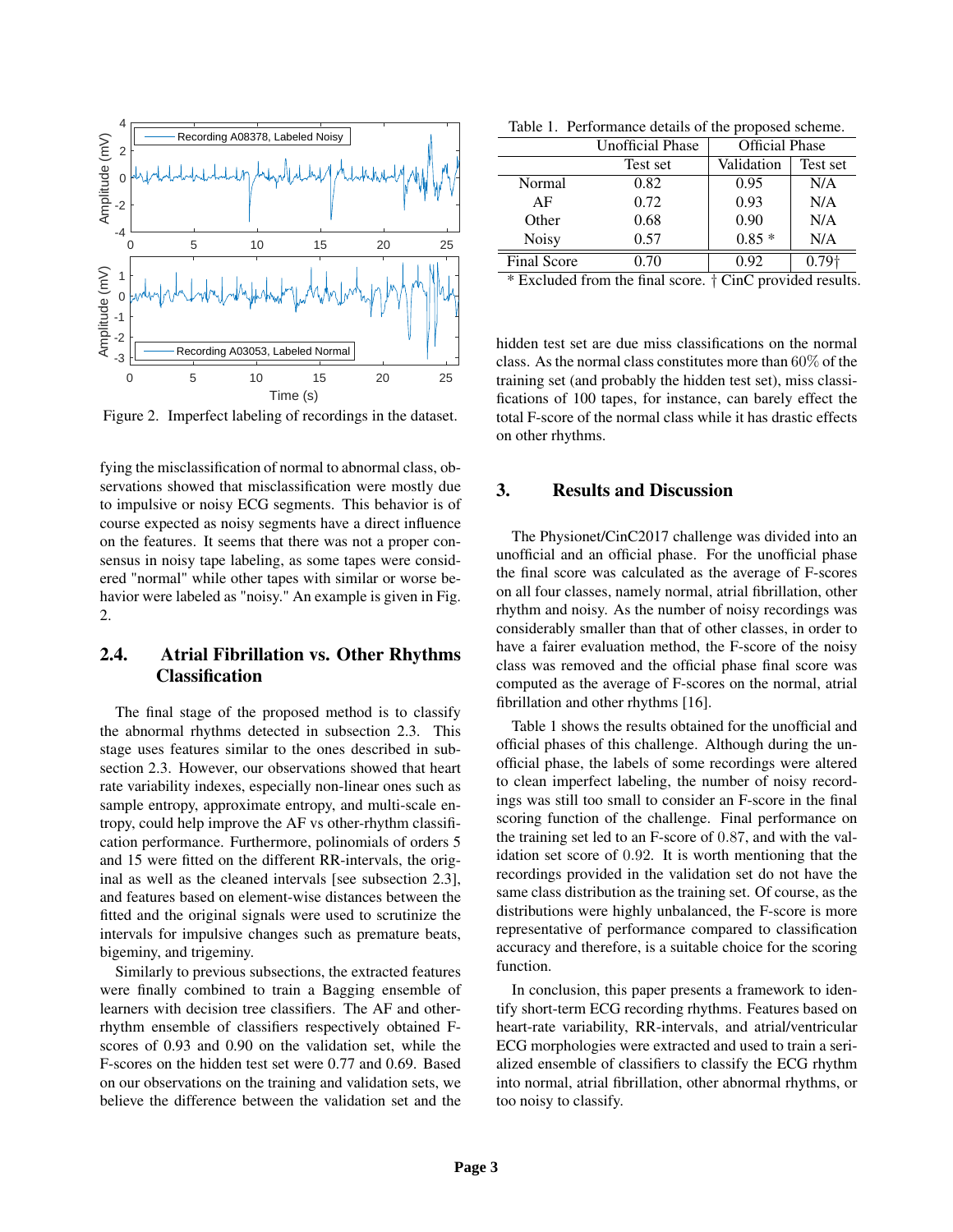

Figure 2. Imperfect labeling of recordings in the dataset.

fying the misclassification of normal to abnormal class, observations showed that misclassification were mostly due to impulsive or noisy ECG segments. This behavior is of course expected as noisy segments have a direct influence on the features. It seems that there was not a proper consensus in noisy tape labeling, as some tapes were considered "normal" while other tapes with similar or worse behavior were labeled as "noisy." An example is given in Fig. 2.

# 2.4. Atrial Fibrillation vs. Other Rhythms Classification

The final stage of the proposed method is to classify the abnormal rhythms detected in subsection 2.3. This stage uses features similar to the ones described in subsection 2.3. However, our observations showed that heart rate variability indexes, especially non-linear ones such as sample entropy, approximate entropy, and multi-scale entropy, could help improve the AF vs other-rhythm classification performance. Furthermore, polinomials of orders 5 and 15 were fitted on the different RR-intervals, the original as well as the cleaned intervals [see subsection 2.3], and features based on element-wise distances between the fitted and the original signals were used to scrutinize the intervals for impulsive changes such as premature beats, bigeminy, and trigeminy.

Similarly to previous subsections, the extracted features were finally combined to train a Bagging ensemble of learners with decision tree classifiers. The AF and otherrhythm ensemble of classifiers respectively obtained Fscores of 0.93 and 0.90 on the validation set, while the F-scores on the hidden test set were 0.77 and 0.69. Based on our observations on the training and validation sets, we believe the difference between the validation set and the

Table 1. Performance details of the proposed scheme.

|                    | Unofficial Phase | <b>Official Phase</b> |                   |
|--------------------|------------------|-----------------------|-------------------|
|                    | Test set         | Validation            | Test set          |
| Normal             | 0.82             | 0.95                  | N/A               |
| AF                 | 0.72             | 0.93                  | N/A               |
| Other              | 0.68             | 0.90                  | N/A               |
| Noisy              | 0.57             | $0.85*$               | N/A               |
| <b>Final Score</b> | 0.70             | 0.92                  | 0.79 <sub>†</sub> |
| .                  |                  |                       |                   |

\* Excluded from the final score. † CinC provided results.

hidden test set are due miss classifications on the normal class. As the normal class constitutes more than 60% of the training set (and probably the hidden test set), miss classifications of 100 tapes, for instance, can barely effect the total F-score of the normal class while it has drastic effects on other rhythms.

# 3. Results and Discussion

The Physionet/CinC2017 challenge was divided into an unofficial and an official phase. For the unofficial phase the final score was calculated as the average of F-scores on all four classes, namely normal, atrial fibrillation, other rhythm and noisy. As the number of noisy recordings was considerably smaller than that of other classes, in order to have a fairer evaluation method, the F-score of the noisy class was removed and the official phase final score was computed as the average of F-scores on the normal, atrial fibrillation and other rhythms [16].

Table 1 shows the results obtained for the unofficial and official phases of this challenge. Although during the unofficial phase, the labels of some recordings were altered to clean imperfect labeling, the number of noisy recordings was still too small to consider an F-score in the final scoring function of the challenge. Final performance on the training set led to an F-score of 0.87, and with the validation set score of 0.92. It is worth mentioning that the recordings provided in the validation set do not have the same class distribution as the training set. Of course, as the distributions were highly unbalanced, the F-score is more representative of performance compared to classification accuracy and therefore, is a suitable choice for the scoring function.

In conclusion, this paper presents a framework to identify short-term ECG recording rhythms. Features based on heart-rate variability, RR-intervals, and atrial/ventricular ECG morphologies were extracted and used to train a serialized ensemble of classifiers to classify the ECG rhythm into normal, atrial fibrillation, other abnormal rhythms, or too noisy to classify.